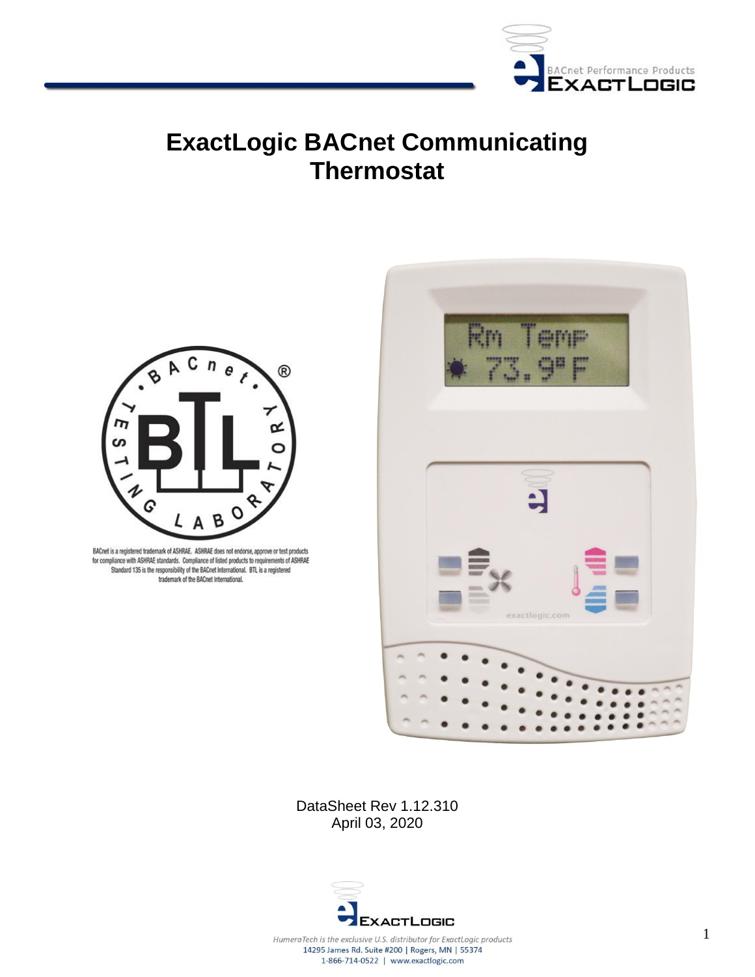

# **ExactLogic BACnet Communicating Thermostat**



BACnet is a registered trademark of ASHRAE. ASHRAE does not endorse, approve or test products for compliance with ASHRAE standards. Compliance of listed products to requirements of ASHRAE Standard 135 is the responsibility of the BACnet International. BTL is a registered trademark of the BACnet International.



DataSheet Rev 1.12.310 April 03, 2020



1-866-714-0522 | www.exactlogic.com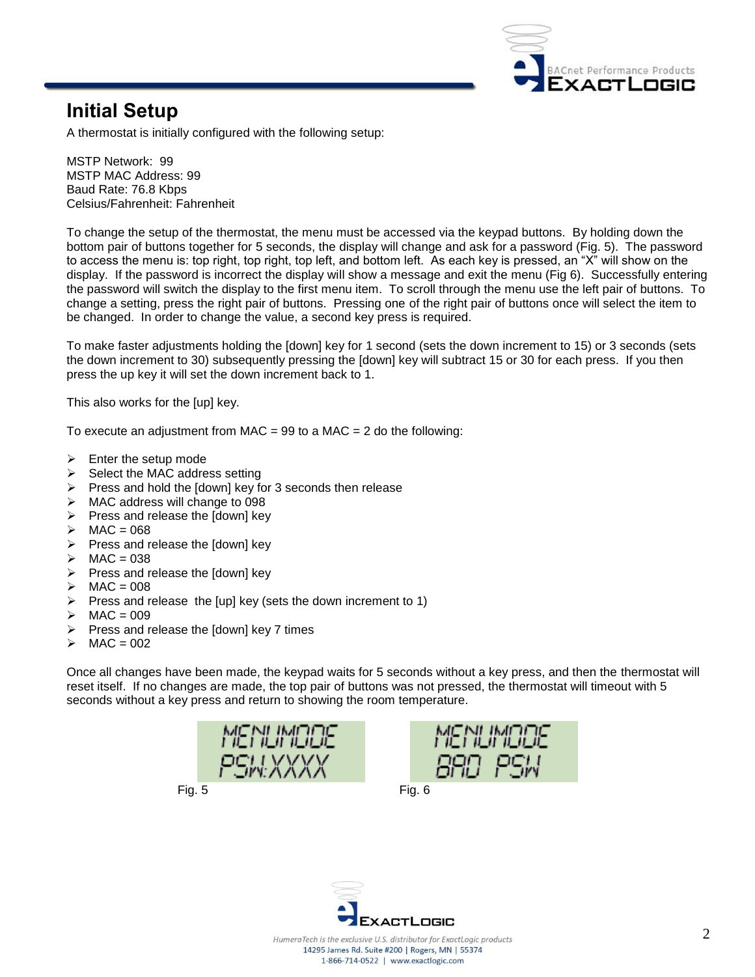

### **Initial Setup**

A thermostat is initially configured with the following setup:

MSTP Network: 99 MSTP MAC Address: 99 Baud Rate: 76.8 Kbps Celsius/Fahrenheit: Fahrenheit

To change the setup of the thermostat, the menu must be accessed via the keypad buttons. By holding down the bottom pair of buttons together for 5 seconds, the display will change and ask for a password (Fig. 5). The password to access the menu is: top right, top right, top left, and bottom left. As each key is pressed, an "X" will show on the display. If the password is incorrect the display will show a message and exit the menu (Fig 6). Successfully entering the password will switch the display to the first menu item. To scroll through the menu use the left pair of buttons. To change a setting, press the right pair of buttons. Pressing one of the right pair of buttons once will select the item to be changed. In order to change the value, a second key press is required.

To make faster adjustments holding the [down] key for 1 second (sets the down increment to 15) or 3 seconds (sets the down increment to 30) subsequently pressing the [down] key will subtract 15 or 30 for each press. If you then press the up key it will set the down increment back to 1.

This also works for the [up] key.

To execute an adjustment from MAC = 99 to a MAC =  $2$  do the following:

- Enter the setup mode
- $\triangleright$  Select the MAC address setting
- $\triangleright$  Press and hold the [down] key for 3 seconds then release
- > MAC address will change to 098
- $\triangleright$  Press and release the  $\sqrt{2}$  down] key
- $\triangleright$  MAC = 068
- $\triangleright$  Press and release the [down] key
- $\triangleright$  MAC = 038
- $\triangleright$  Press and release the [down] key
- $\triangleright$  MAC = 008
- Press and release the [up] key (sets the down increment to 1)
- $\triangleright$  MAC = 009
- $\triangleright$  Press and release the [down] key 7 times
- $\times$  MAC = 002

Once all changes have been made, the keypad waits for 5 seconds without a key press, and then the thermostat will reset itself. If no changes are made, the top pair of buttons was not pressed, the thermostat will timeout with 5 seconds without a key press and return to showing the room temperature.







14295 James Rd. Suite #200 | Rogers, MN | 55374 1-866-714-0522 | www.exactlogic.com

2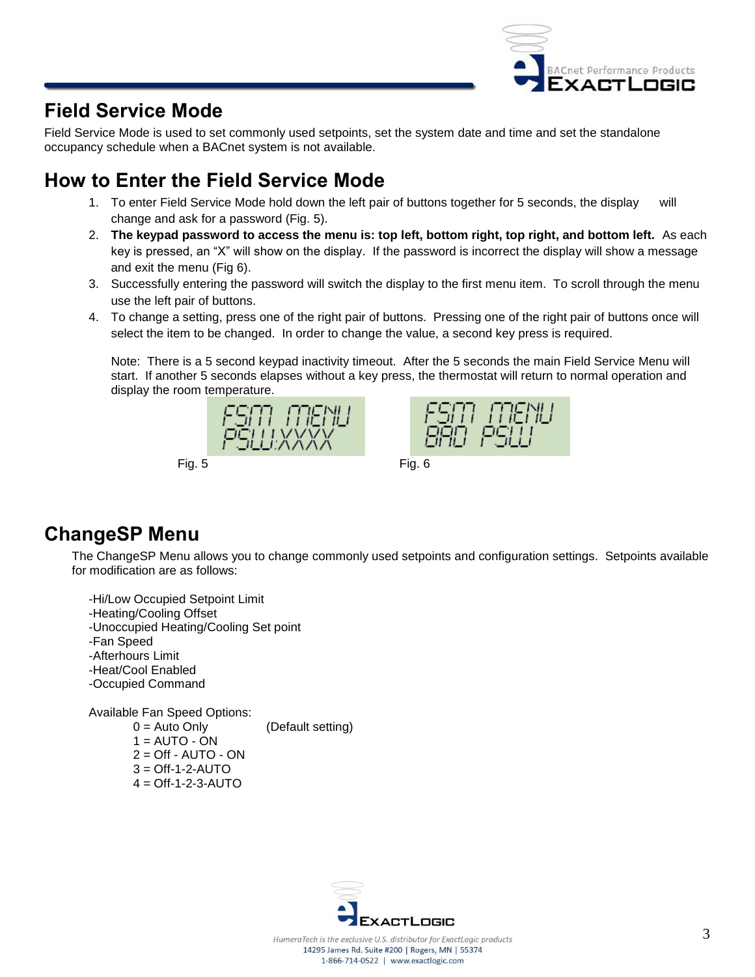

### **Field Service Mode**

Field Service Mode is used to set commonly used setpoints, set the system date and time and set the standalone occupancy schedule when a BACnet system is not available.

# **How to Enter the Field Service Mode**

- 1. To enter Field Service Mode hold down the left pair of buttons together for 5 seconds, the display will change and ask for a password (Fig. 5).
- 2. **The keypad password to access the menu is: top left, bottom right, top right, and bottom left.** As each key is pressed, an "X" will show on the display. If the password is incorrect the display will show a message and exit the menu (Fig 6).
- 3. Successfully entering the password will switch the display to the first menu item. To scroll through the menu use the left pair of buttons.
- 4. To change a setting, press one of the right pair of buttons. Pressing one of the right pair of buttons once will select the item to be changed. In order to change the value, a second key press is required.

Note: There is a 5 second keypad inactivity timeout. After the 5 seconds the main Field Service Menu will start. If another 5 seconds elapses without a key press, the thermostat will return to normal operation and display the room temperature.



### **ChangeSP Menu**

The ChangeSP Menu allows you to change commonly used setpoints and configuration settings. Setpoints available for modification are as follows:

-Hi/Low Occupied Setpoint Limit -Heating/Cooling Offset -Unoccupied Heating/Cooling Set point -Fan Speed -Afterhours Limit -Heat/Cool Enabled -Occupied Command Available Fan Speed Options:  $0 =$  Auto Only (Default setting)  $1 =$  AUTO - ON  $2 = \bigcirc$  - AUTO - ON

 $3 = \text{Off-1-2-AUTO}$  $4 = \bigcirc$  ff-1-2-3-AUTO

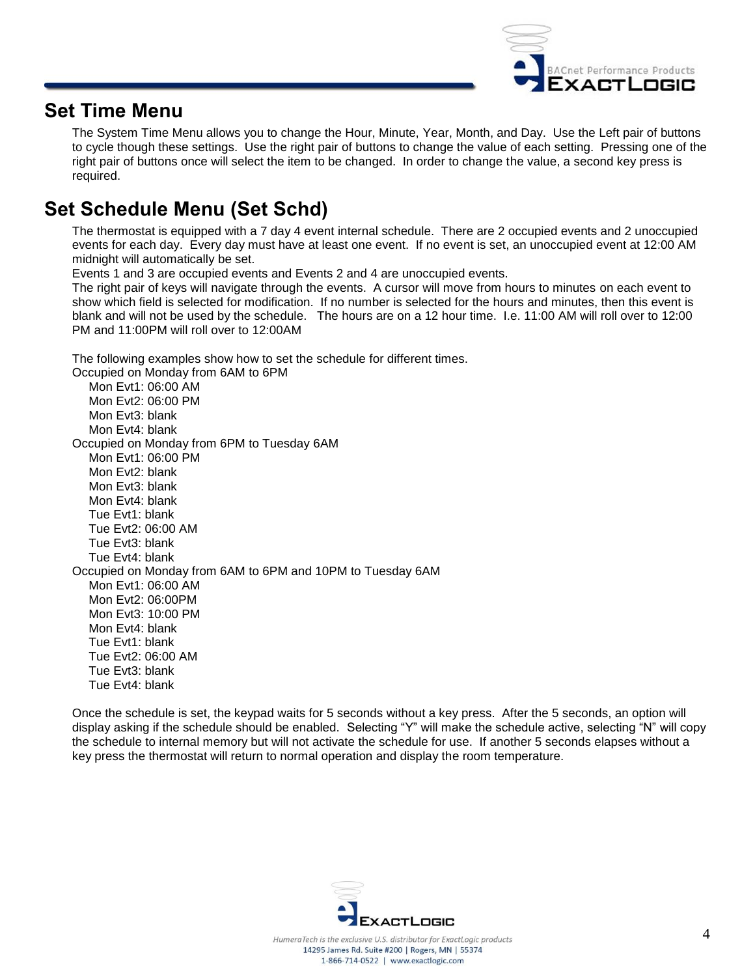

### **Set Time Menu**

The System Time Menu allows you to change the Hour, Minute, Year, Month, and Day. Use the Left pair of buttons to cycle though these settings. Use the right pair of buttons to change the value of each setting. Pressing one of the right pair of buttons once will select the item to be changed. In order to change the value, a second key press is required.

### **Set Schedule Menu (Set Schd)**

The thermostat is equipped with a 7 day 4 event internal schedule. There are 2 occupied events and 2 unoccupied events for each day. Every day must have at least one event. If no event is set, an unoccupied event at 12:00 AM midnight will automatically be set.

Events 1 and 3 are occupied events and Events 2 and 4 are unoccupied events.

The right pair of keys will navigate through the events. A cursor will move from hours to minutes on each event to show which field is selected for modification. If no number is selected for the hours and minutes, then this event is blank and will not be used by the schedule. The hours are on a 12 hour time. I.e. 11:00 AM will roll over to 12:00 PM and 11:00PM will roll over to 12:00AM

The following examples show how to set the schedule for different times.

Occupied on Monday from 6AM to 6PM Mon Evt1: 06:00 AM Mon Evt2: 06:00 PM Mon Evt3: blank Mon Evt4: blank Occupied on Monday from 6PM to Tuesday 6AM Mon Evt1: 06:00 PM Mon Evt2: blank Mon Evt3: blank Mon Evt4: blank Tue Evt1: blank Tue Evt2: 06:00 AM Tue Evt3: blank Tue Evt4: blank Occupied on Monday from 6AM to 6PM and 10PM to Tuesday 6AM Mon Evt1: 06:00 AM Mon Evt2: 06:00PM Mon Evt3: 10:00 PM Mon Evt4: blank Tue Evt1: blank Tue Evt2: 06:00 AM Tue Evt3: blank Tue Evt4: blank

Once the schedule is set, the keypad waits for 5 seconds without a key press. After the 5 seconds, an option will display asking if the schedule should be enabled. Selecting "Y" will make the schedule active, selecting "N" will copy the schedule to internal memory but will not activate the schedule for use. If another 5 seconds elapses without a key press the thermostat will return to normal operation and display the room temperature.

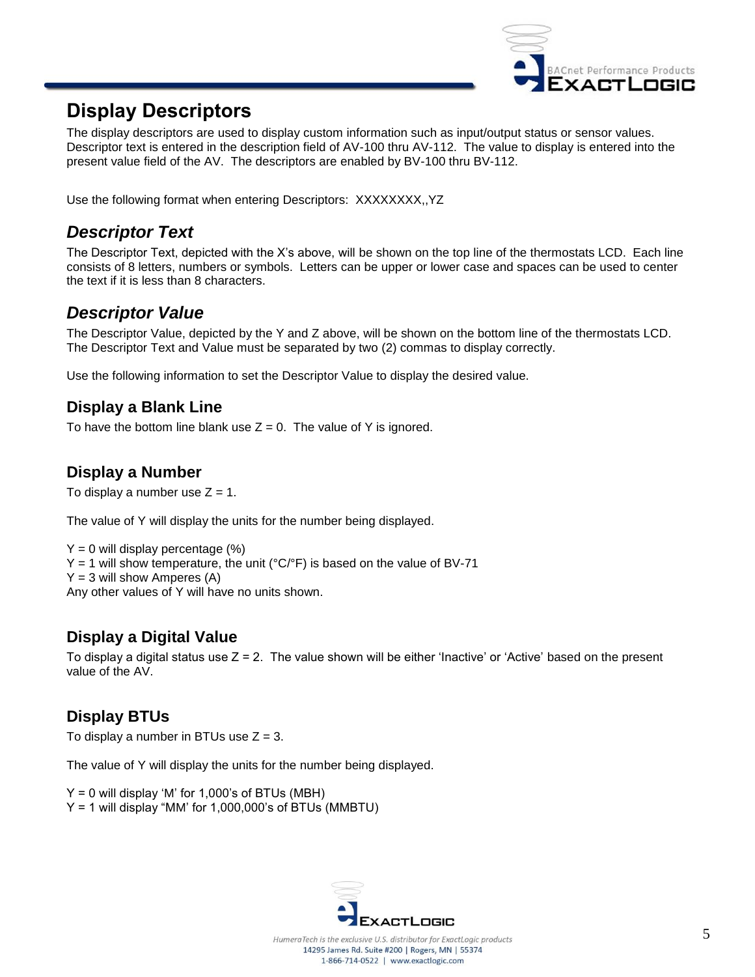

### **Display Descriptors**

The display descriptors are used to display custom information such as input/output status or sensor values. Descriptor text is entered in the description field of AV-100 thru AV-112. The value to display is entered into the present value field of the AV. The descriptors are enabled by BV-100 thru BV-112.

Use the following format when entering Descriptors: XXXXXXXX,,YZ

### *Descriptor Text*

The Descriptor Text, depicted with the X's above, will be shown on the top line of the thermostats LCD. Each line consists of 8 letters, numbers or symbols. Letters can be upper or lower case and spaces can be used to center the text if it is less than 8 characters.

#### *Descriptor Value*

The Descriptor Value, depicted by the Y and Z above, will be shown on the bottom line of the thermostats LCD. The Descriptor Text and Value must be separated by two (2) commas to display correctly.

Use the following information to set the Descriptor Value to display the desired value.

#### **Display a Blank Line**

To have the bottom line blank use  $Z = 0$ . The value of Y is ignored.

#### **Display a Number**

To display a number use  $Z = 1$ .

The value of Y will display the units for the number being displayed.

 $Y = 0$  will display percentage  $(\%)$  $Y = 1$  will show temperature, the unit (°C/°F) is based on the value of BV-71  $Y = 3$  will show Amperes (A) Any other values of Y will have no units shown.

#### **Display a Digital Value**

To display a digital status use  $Z = 2$ . The value shown will be either 'Inactive' or 'Active' based on the present value of the AV.

#### **Display BTUs**

To display a number in BTUs use  $Z = 3$ .

The value of Y will display the units for the number being displayed.

 $Y = 0$  will display 'M' for 1,000's of BTUs (MBH)

Y = 1 will display "MM' for 1,000,000's of BTUs (MMBTU)

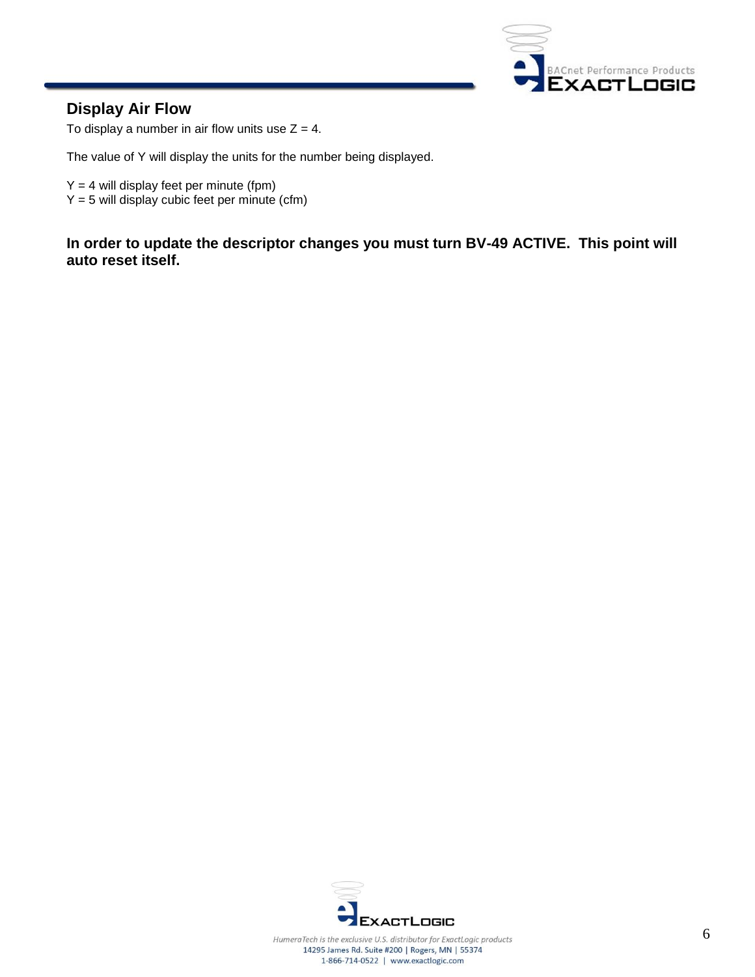

#### **Display Air Flow**

To display a number in air flow units use  $Z = 4$ .

The value of Y will display the units for the number being displayed.

- $Y = 4$  will display feet per minute (fpm)
- $Y = 5$  will display cubic feet per minute (cfm)

**In order to update the descriptor changes you must turn BV-49 ACTIVE. This point will auto reset itself.**

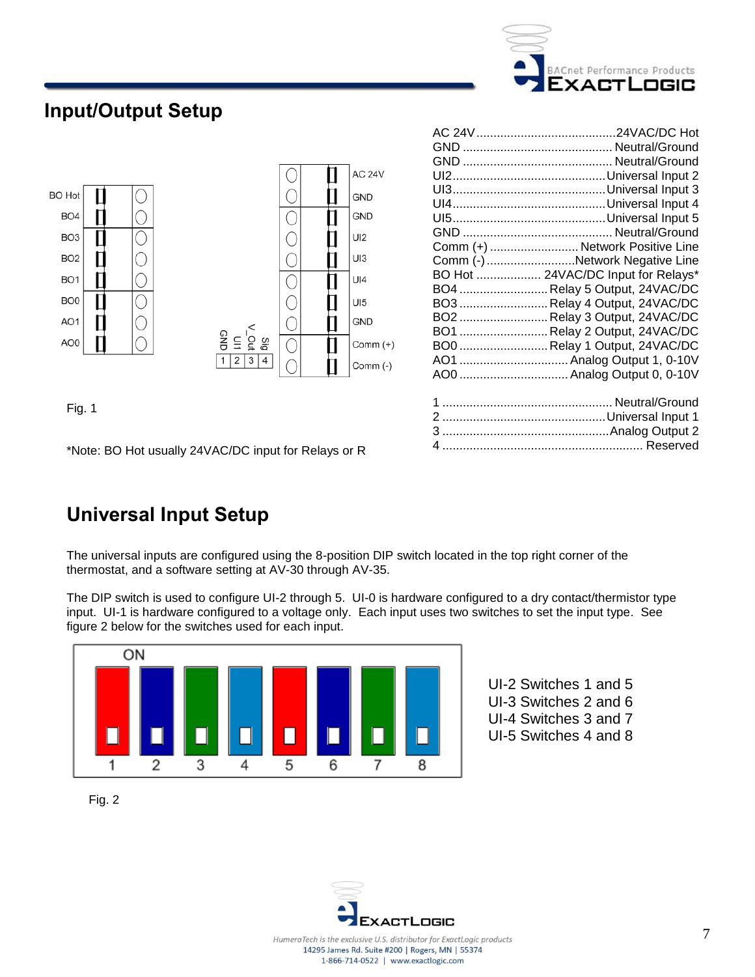

AC 24V.........................................24VAC/DC Hot GND ............................................ Neutral/Ground GND ............................................ Neutral/Ground UI2.............................................Universal Input 2 UI3.............................................Universal Input 3 UI4.............................................Universal Input 4 UI5.............................................Universal Input 5 GND ............................................ Neutral/Ground Comm (+) .......................... Network Positive Line Comm (-)..........................Network Negative Line BO Hot ................... 24VAC/DC Input for Relays\* BO4 ..........................Relay 5 Output, 24VAC/DC BO3 ..........................Relay 4 Output, 24VAC/DC BO2 ..........................Relay 3 Output, 24VAC/DC BO1 ..........................Relay 2 Output, 24VAC/DC BO0 ..........................Relay 1 Output, 24VAC/DC AO1 ................................Analog Output 1, 0-10V AO0 ................................Analog Output 0, 0-10V

 .................................................. Neutral/Ground ................................................Universal Input 1 .................................................Analog Output 2 ........................................................... Reserved

### **Input/Output Setup**



Fig. 1

\*Note: BO Hot usually 24VAC/DC input for Relays or R

## **Universal Input Setup**

The universal inputs are configured using the 8-position DIP switch located in the top right corner of the thermostat, and a software setting at AV-30 through AV-35.

The DIP switch is used to configure UI-2 through 5. UI-0 is hardware configured to a dry contact/thermistor type input. UI-1 is hardware configured to a voltage only. Each input uses two switches to set the input type. See figure 2 below for the switches used for each input.



UI-2 Switches 1 and 5 UI-3 Switches 2 and 6 UI-4 Switches 3 and 7 UI-5 Switches 4 and 8



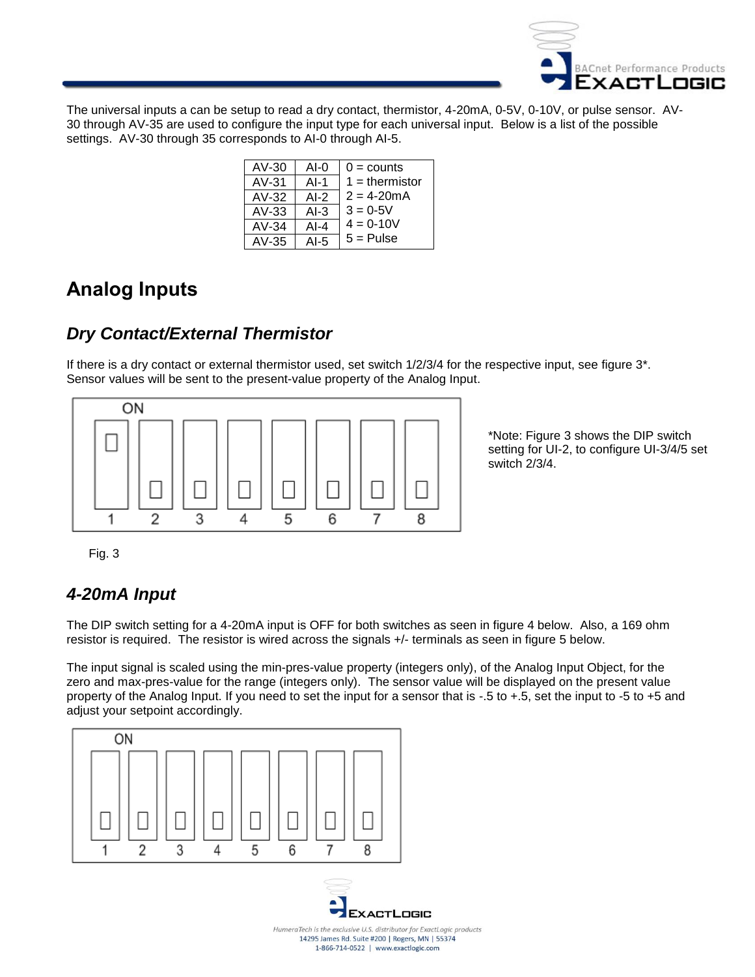

The universal inputs a can be setup to read a dry contact, thermistor, 4-20mA, 0-5V, 0-10V, or pulse sensor. AV-30 through AV-35 are used to configure the input type for each universal input. Below is a list of the possible settings. AV-30 through 35 corresponds to AI-0 through AI-5.

| $AV-30$ | $AI-0$  | $0 =$ counts     |
|---------|---------|------------------|
| $AV-31$ | $AI-1$  | $1 =$ thermistor |
| $AV-32$ | AI-2    | $2 = 4 - 20mA$   |
| $AV-33$ | $AI-3$  | $3 = 0.5V$       |
| $AV-34$ | $AI-4$  | $4 = 0.10V$      |
| $AV-35$ | AI- $5$ | $5 =$ Pulse      |

### **Analog Inputs**

### *Dry Contact/External Thermistor*

If there is a dry contact or external thermistor used, set switch 1/2/3/4 for the respective input, see figure 3\*. Sensor values will be sent to the present-value property of the Analog Input.



\*Note: Figure 3 shows the DIP switch setting for UI-2, to configure UI-3/4/5 set switch 2/3/4.

Fig. 3

### *4-20mA Input*

The DIP switch setting for a 4-20mA input is OFF for both switches as seen in figure 4 below. Also, a 169 ohm resistor is required. The resistor is wired across the signals +/- terminals as seen in figure 5 below.

The input signal is scaled using the min-pres-value property (integers only), of the Analog Input Object, for the zero and max-pres-value for the range (integers only). The sensor value will be displayed on the present value property of the Analog Input. If you need to set the input for a sensor that is -.5 to +.5, set the input to -5 to +5 and adjust your setpoint accordingly.





HumeraTech is the exclusive U.S. distributor for ExactLogic products 14295 James Rd. Suite #200 | Rogers, MN | 55374 1-866-714-0522 | www.exactlogic.com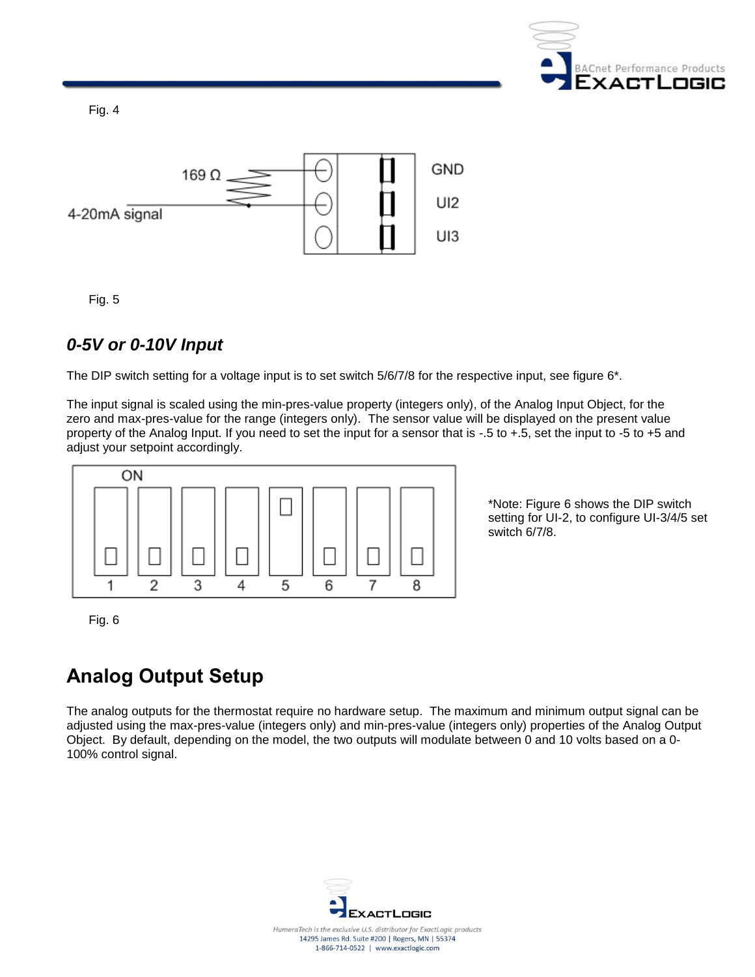

Fig. 4



Fig. 5

#### *0-5V or 0-10V Input*

The DIP switch setting for a voltage input is to set switch 5/6/7/8 for the respective input, see figure 6<sup>\*</sup>.

The input signal is scaled using the min-pres-value property (integers only), of the Analog Input Object, for the zero and max-pres-value for the range (integers only). The sensor value will be displayed on the present value property of the Analog Input. If you need to set the input for a sensor that is -.5 to +.5, set the input to -5 to +5 and adjust your setpoint accordingly.



\*Note: Figure 6 shows the DIP switch setting for UI-2, to configure UI-3/4/5 set switch 6/7/8.

Fig. 6

# **Analog Output Setup**

The analog outputs for the thermostat require no hardware setup. The maximum and minimum output signal can be adjusted using the max-pres-value (integers only) and min-pres-value (integers only) properties of the Analog Output Object. By default, depending on the model, the two outputs will modulate between 0 and 10 volts based on a 0- 100% control signal.